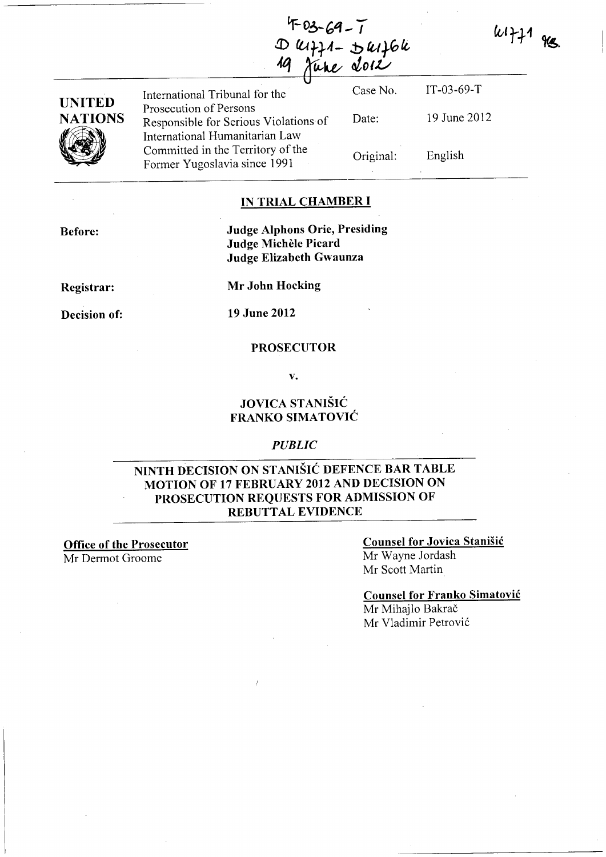D leiff1 - D leif6le<br>19 June 2012

| UNITED         |  |
|----------------|--|
| <b>NATIONS</b> |  |
|                |  |

International Tribunal for the Prosecution of Persons Responsible for Serious Violations of International Humanitarian Law Committed in the Territory of the Former Yugoslavia since 1991

Case No. Date: Original: IT-03-69-T 19 June 2012 English

 $44771$  gg.

**IN TRIAL CHAMBER I** 

**Before:** 

**Judge Alphons Orie, Presiding Judge Michele Picard Judge Elizabeth Gwaunza** 

**Registrar:** 

**Decision of:** 

**Mr John Hocking** 

**19 June 2012** 

#### **PROSECUTOR**

v.

### **JOVICA ST ANISIC FRANKO SIMATOVIC**

#### *PUBLIC*

### **NINTH DECISION ON STANISIC DEFENCE BAR TABLE MOTION OF 17 FEBRUARY 2012 AND DECISION ON PROSECUTION REQUESTS FOR ADMISSION OF REBUTTAL EVIDENCE**

**Office of the Prosecutor** 

Mr Dermot Groome

## **Counsel for Jovica Stanisic**

Mr Wayne Jordash Mr Scott Martin

**Counsel for Franko Simatovic** 

Mr Mihajlo Bakrač Mr Vladimir Petrović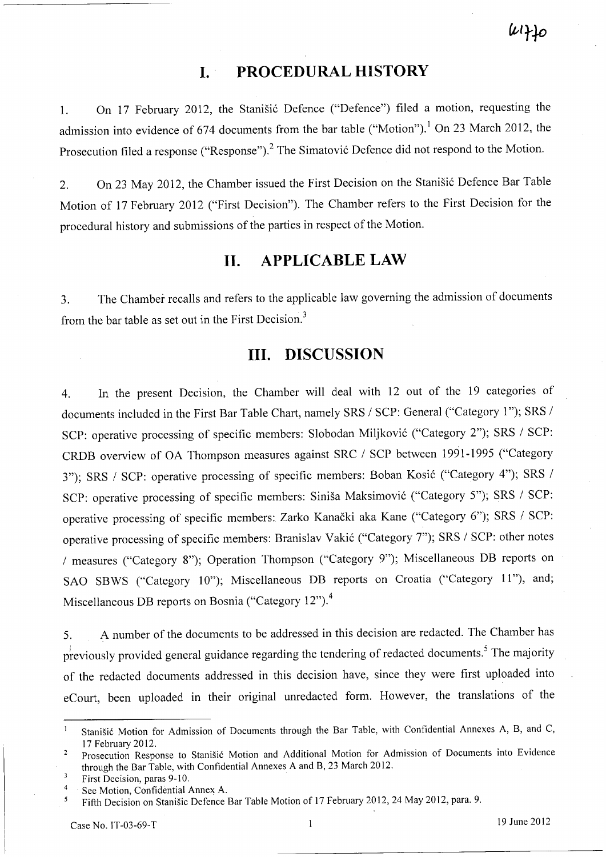# **I. PROCEDURAL HISTORY**

1. On 17 February 2012, the Stanišić Defence ("Defence") filed a motion, requesting the admission into evidence of 674 documents from the bar table ("Motion").<sup>1</sup> On 23 March 2012, the Prosecution filed a response ("Response").<sup>2</sup> The Simatović Defence did not respond to the Motion.

2. On 23 May 2012, the Chamber issued the First Decision on the Stanišić Defence Bar Table Motion of 17 February 2012 ("First Decision"). The Chamber refers to the First Decision for the procedural history and submissions of the parties in respect of the Motion.

# **11. APPLICABLE LAW**

3. The Chamber recalls and refers to the applicable law governing the admission of documents from the bar table as set out in the First Decision.<sup>3</sup>

# **Ill. DISCUSSION**

4. In the present Decision, the Chamber will deal with 12 out of the 19 categories of documents included in the First Bar Table Chart, namely SRS / SCP: General ("Category 1"); SRS / SCP: operative processing of specific members: Slobodan Miljković ("Category 2"); SRS / SCP: CRDB overview of OA Thompson measures against SRC / SCP between 1991-1995 ("Category 3"); SRS / SCP: operative processing of specific members: Boban Kosić ("Category 4"); SRS / SCP: operative processing of specific members: Siniša Maksimović ("Category 5"); SRS / SCP: operative processing of specific members: Zarko Kanacki aka Kane ("Category 6"); SRS / SCP: operative processing of specific members: Branislav Vakić ("Category 7"); SRS / SCP: other notes / measures ("Category 8"); Operation Thompson ("Category 9"); Miscellaneous DB reports on SAO SBWS ("Category 10"); Miscellaneous DB reports on Croatia ("Category 11"), and; Miscellaneous DB reports on Bosnia ("Category 12").4

5. A number of the documents to be addressed in this decision are redacted. The Chamber has previously provided general guidance regarding the tendering of redacted documents.<sup>5</sup> The majority of the redacted documents addressed in this decision have, since they were first uploaded into eCourt, been uploaded in their original unredacted form. However, the translations of the

Stanišić Motion for Admission of Documents through the Bar Table, with Confidential Annexes A, B, and C, 17 February 2012.

Prosecution Response to Stanisic Motion and Additional Motion for Admission of Documents into Evidence through the Bar Table, with Confidential Annexes A and B, 23 March 2012.

 $\overline{3}$ First Decision, paras 9-10.

<sup>4</sup>  See Motion, Confidential Annex A.

Fifth Decision on Stanišic Defence Bar Table Motion of 17 February 2012, 24 May 2012, para. 9.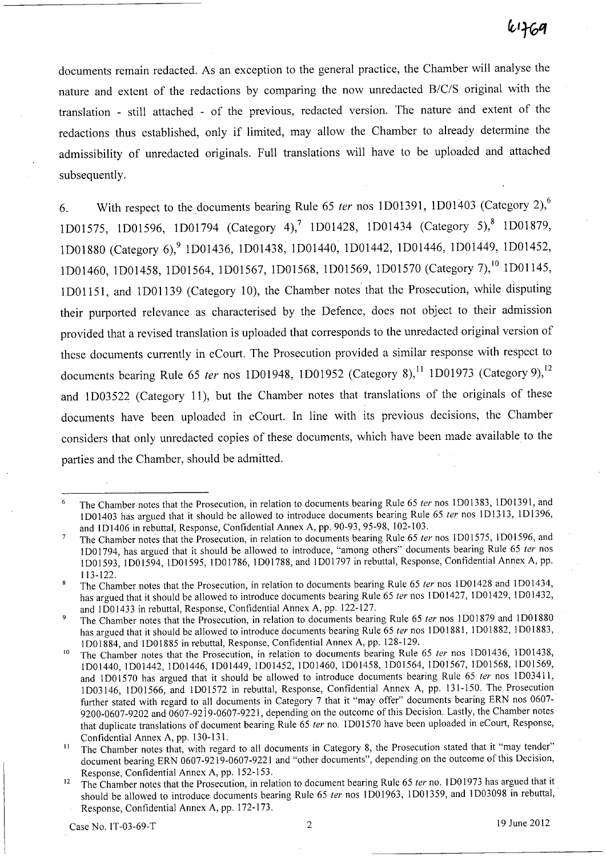documents remain redacted. As an exception to the general practice, the Chamber will analyse the nature and extent of the redactions by comparing the now unredacted B/C/S original with the translation - still attached - of the previous, redacted version. The nature and extent of the redactions thus established, only if limited, may allow the Chamber to already determine the admissibility of unredacted originals. Full translations will have to be uploaded and attached subsequently.

6. With respect to the documents bearing Rule 65 *ter* nos 1D01391, 1D01403 (Category 2),<sup>6</sup> 1D01575, 1D01596, 1D01794 (Category 4),<sup>7</sup> 1D01428, 1D01434 (Category 5),<sup>8</sup> 1D01879, 1D01880 (Category 6),<sup>9</sup> 1D01436, 1D01438, 1D01440, 1D01442, 1D01446, 1D01449, 1D01452, 1D01460, 1D01458, 1D01564, 1D01567, 1D01568, 1D01569, 1D01570 (Category 7),<sup>10</sup> 1D01145, lDOl15l, and lDOl139 (Category 10), the Chamber notes'that the Prosecution, while disputing their purported relevance as characterised by the Defence, does not object to their admission provided that a revised translation is uploaded that corresponds to the unredacted original version of these documents currently in eCourt. The Prosecution provided a similar response with respect to documents bearing Rule 65 ter nos 1D01948, 1D01952 (Category 8),<sup>11</sup> 1D01973 (Category 9),<sup>12</sup> and lD03522 (Category 11), but the Chamber notes that translations of the originals of these documents have been uploaded in eCourt. In line with its previous decisions, the Chamber considers that only unredacted copies of these documents, which have been made available to the parties and the Chamber, should be admitted.

The Chamber notes that the Prosecution, in relation to documents bearing Rule 65 ter nos 1D01383, 1D01391, and  $\epsilon$ IDOl403 has argued that it should be allowed to introduce documents bearing Rule 65 fer nos ID1313, ID1396, and lD1406 in rebuttal, Response, Confidential Annex A, pp. 90-93, 95-98, 102-103.

 $\overline{7}$ The Chamber notes that the Prosecution, in relation to documents bearing Rule 65 ter nos 1D01575, 1D01596, and 1 D01794, has argued that it should be allowed to introduce, "among others" documents bearing Rule 65 ter nos lD01593, lD01594, lD01595, lDOI786, lDOI788, and lD01797 in rebuttal, Response, Confidential Annex A, pp. 113-122.

The Chamber notes that the Prosecution, in relation to documents bearing Rule 65 ter nos 1D01428 and 1D01434,  $\mathbf{R}$ has argued that it should be allowed to introduce documents bearing Rule 65 ter nos 1D01427, 1D01429, 1D01432, and IDOl433 in rebuttal, Response, Confidential Annex A, pp. 122-127.

<sup>&</sup>lt;sup>9</sup> The Chamber notes that the Prosecution, in relation to documents bearing Rule 65 ter nos 1D01879 and 1D01880 has argued that it should be allowed to introduce documents bearing Rule 65 ter nos 1D01881, 1D01882, 1D01883, ID01884, and IDOl885 in rebuttal, Response, Confidential Annex A, pp. 128-129.

The Chamber notes that the Prosecution, in relation to documents bearing Rule 65 ter nos 1D01436, 1D01438, lD01440, lD01442, lD01446, lD01449, lD01452, lD01460, lD01458, lD01564, lD01567, lD01568, lD01569, and 1D01570 has argued that it should be allowed to introduce documents bearing Rule 65 ter nos 1D03411, lD03146, lDO 1566, and lDO 1572 in rebuttal, Response, Confidential Annex A, pp. 131-150. The Prosecution further stated with regard to all documents in Category 7 that it "may offer" documents bearing ERN nos 0607-9200-0607-9202 and 0607-92i9-0607-9221, depending on the outcome of this Decision. Lastly, the Chamber notes that duplicate translations of document bearing Rule 65 ter no. 1D01570 have been uploaded in eCourt, Response, Confidential Annex A, pp. 130-131.

<sup>&</sup>lt;sup>11</sup> The Chamber notes that, with regard to all documents in Category 8, the Prosecution stated that it "may tender" document bearing ERN 0607-9219-0607-9221 and "other documents", depending on the outcome of this Decision, Response, Confidential Annex A, pp. 152-153.

<sup>&</sup>lt;sup>12</sup> The Chamber notes that the Prosecution, in relation to document bearing Rule 65 ter no. 1 D01973 has argued that it should be allowed to introduce documents bearing Rule 65 ter nos 1D01963, 1D01359, and 1D03098 in rebuttal, Response, Confidential Annex A, pp. 172-173.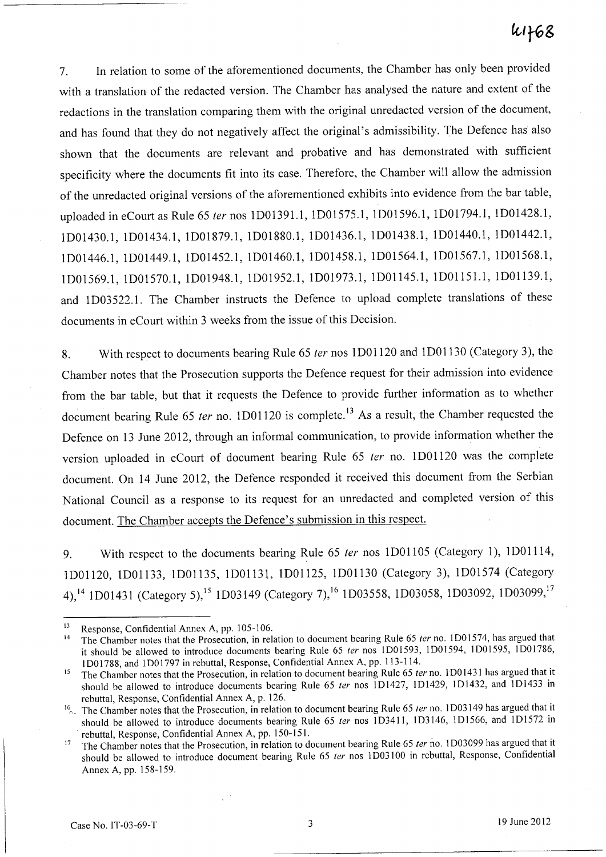# $4468$

7. In relation to some of the aforementioned documents, the Chamber has only been provided with a translation of the redacted version. The Chamber has analysed the nature and extent of the redactions in the translation comparing them with the original umedacted version of the document, and has found that they do not negatively affect the original's admissibility. The Defence has also shown that the documents are relevant and probative and has demonstrated with sufficient specificity where the documents fit into its case. Therefore, the Chamber will allow the admission of the umedacted original versions of the aforementioned exhibits into evidence from the bar table, uploaded in eCourt as Rule 65 fer nos 1D01391.1, 1D01575.1, 1D01596.1, 1D01794.1, 1D01428.1, 1D01430.1, 1D01434.1, 1D01879.1, 1D01880.1, 1D01436.1, 1D01438.1, 1D01440.1, 1D01442.1, 1D01446.1, 1D01449.1, 1D01452.1, 1D01460.1, 1D01458.1, 1D01564.1, 1D01567.1, 1D01568.1, 1D01569.1, 1D01570.1, 1D01948.1, 1D01952.1, 1D01973.1, 1D01l45.1, 1DOl151.1, 1DOl139.1, and 1D03522.1. The Chamber instructs the Defence to upload complete translations of these documents in eCourt within 3 weeks from the issue of this Decision.

8. With respect to documents bearing Rule 65 ter nos 1D01120 and 1D01130 (Category 3), the Chamber notes that the Prosecution supports the Defence request for their admission into evidence from the bar table, but that it requests the Defence to provide further information as to whether document bearing Rule 65 ter no. 1D01120 is complete.<sup>13</sup> As a result, the Chamber requested the Defence on 13 June 2012, through an informal communication, to provide information whether the version uploaded in eCourt of document bearing Rule 65 fer no. 1DOl120 was the complete document. On 14 June 2012, the Defence responded it received this document from the Serbian National Council as a response to its request for an umedacted and completed version of this document. The Chamber accepts the Defence's submission in this respect.

9. With respect to the documents bearing Rule 65 ter nos 1D01105 (Category 1), 1D01114, IDOl120, 1DOl133, 1DOl135, IDOl131, 1D01l25, IDOl130 (Category 3), 1DOI574 (Category 4),<sup>14</sup> 1D01431 (Category 5),<sup>15</sup> 1D03149 (Category 7),<sup>16</sup> 1D03558, 1D03058, 1D03092, 1D03099,<sup>17</sup>

<sup>13</sup> Response, Confidential Annex A, pp. 105-106.

<sup>&</sup>lt;sup>14</sup> The Chamber notes that the Prosecution, in relation to document bearing Rule 65 *ter* no. 1D01574, has argued that it should be allowed to introduce documents bearing Rule 65 *ter* nos 1001593, 1001594, 1001595, 1001786, 1001788, and 1001797 in rebuttal, Response, Confidential Annex A, pp. 113-114.

<sup>&</sup>lt;sup>15</sup> The Chamber notes that the Prosecution, in relation to document bearing Rule 65 *ter* no. 1D01431 has argued that it should be allowed to introduce documents bearing Rule 65 *ter* nos 1D1427, 1D1429, 1D1432, and 1D1433 in rebuttal, Response, Confidential Annex A, p. 126.

I~~ The Chamber notes that the Prosecution, in relation to document bearing Rule 65 *ter* no. 1 D03149 has argued that it should be allowed to introduce documents bearing Rule 65 *ter* nos 1D3411, 1D3146, 1D1566, and 1D1572 in rebuttal, Response, Confidential Annex A, pp. 150-151.

<sup>&</sup>lt;sup>17</sup> The Chamber notes that the Prosecution, in relation to document bearing Rule 65 *ter* no. 1D03099 has argued that it should be allowed to introduce document bearing Rule 65 *ter* nos 1003100 in rebuttal, Response, Confidential Annex A, pp. 158-159.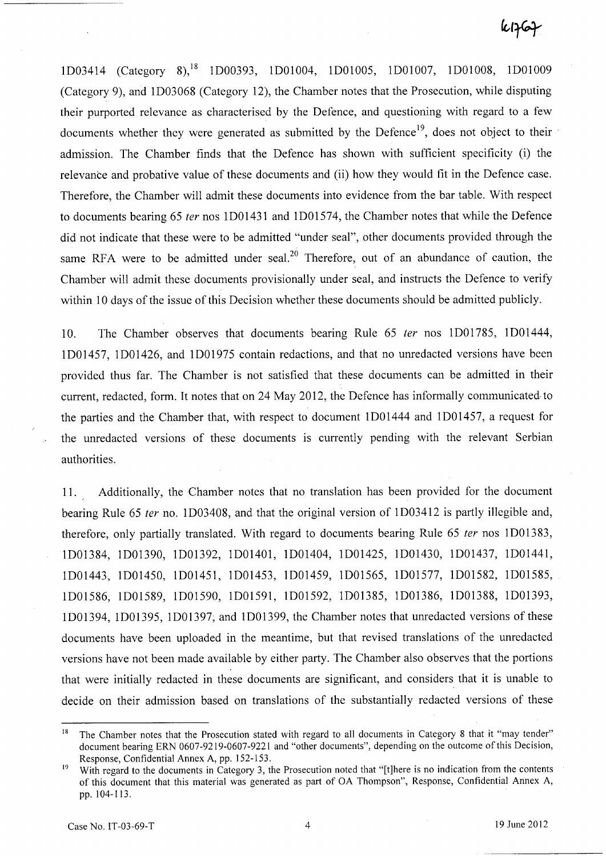lD03414 (Category 8),18 lD00393, lDOl004, lDOl005, lDOl007, lDOl008, lDOl009 (Category 9), and lD03068 (Category 12), the Chamber notes that the Prosecution, while disputing their purported relevance as characterised by the Defence, and questioning with regard to a few documents whether they were generated as submitted by the Defence<sup>19</sup>, does not object to their admission. The Chamber finds that the Defence has shown with sufficient specificity (i) the relevance and probative value of these documents and (ii) how they would fit in the Defence case. Therefore, the Chamber will admit these documents into evidence from the bar table. With respect to documents bearing 65 fer nos lD0143l and lD01574, the Chamber notes that while the Defence did not indicate that these were to be admitted "under seal", other documents provided through the same RFA were to be admitted under seal.<sup>20</sup> Therefore, out of an abundance of caution, the Chamber will admit these documents provisionally under seal, and instructs the Defence to verify within 10 days of the issue of this Decision whether these documents should be admitted publicly.

10. The Chamber observes that documents bearing Rule 65 fer nos lD01785, lD01444, lD01457, lD01426, and lD01975 contain redactions, and that no unredacted versions have been provided thus far. The Chamber is not satisfied that these documents can be admitted in their current, redacted, form. It notes that on 24 May 2012, the Defence has informally communicated· to the parties and the Chamber that, with respect to document lD01444 and lD01457, a request for the unredacted versions of these documents is currently pending with the relevant Serbian authorities.

11. Additionally, the Chamber notes that no translation has been provided for the document bearing Rule 65 *ter* no. 1D03408, and that the original version of 1D03412 is partly illegible and, therefore, only partially translated. With regard to documents bearing Rule 65 *ter* nos 1D01383, lD01384, lD01390, lD01392, lD0140l, lD01404, lD01425, lD01430, lD01437, lD0144l, lD01443, lD01450, lD0145l, lD01453, lD01459, lD01565, lD01577, lD01582, lD01585, lD01586, lD01589, lD01590, ID01591, ID01592, ID01385, lD01386, ID01388, ID01393, ID01394, ID01395, ID01397; and ID01399, the Chamber notes that unredacted versions of these documents have been uploaded in the meantime, but that revised translations of the unredacted versions have not been made available by either party. The Chamber also observes that the portions that were initially redacted in these documents are significant, and considers that it is unable to decide on their admission based on translations of the substantially redacted versions of these

The Chamber notes that the Prosecution stated with regard to all documents in Category 8 that it "may tender" document bearing ERN 0607-9219-0607-9221 and "other documents", depending on the outcome of this Decision, Response, Confidential Annex A, pp. 152-153.

With regard to the documents in Category 3, the Prosecution noted that "[t]here is no indication from the contents of this document that this material was generated as part of OA Thompson", Response, Confidential Annex A, pp. 104-113.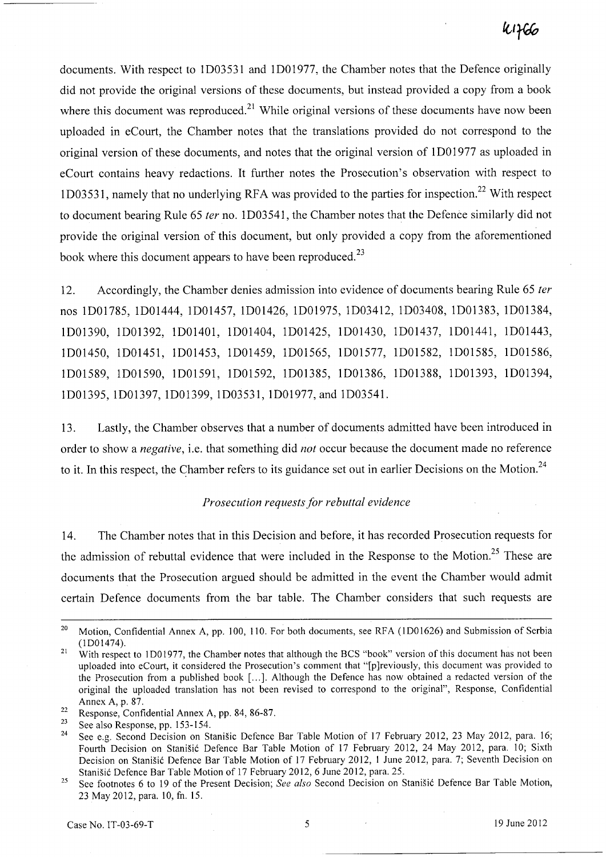documents. With respect to lD0353l and lD01977, the Chamber notes that the Defence originally did not provide the original versions of these documents, but instead provided a copy from a book where this document was reproduced.<sup>21</sup> While original versions of these documents have now been uploaded in eCourt, the Chamber notes that the translations provided do not correspond to the original version of these documents, and notes that the original version of 1D01977 as uploaded in eCourt contains heavy redactions. It further notes the Prosecution's observation with respect to 1D03531, namely that no underlying RFA was provided to the parties for inspection.<sup>22</sup> With respect to document bearing Rule 65 *ter* no. lD0354l, the Chamber notes that the Defence similarly did not provide the original version of this document, but only provided a copy from the aforementioned book where this document appears to have been reproduced.<sup>23</sup>

12. Accordingly, the Chamber denies admission into evidence of documents bearing Rule 65 *ter*  nos lD01785, lD01444, lD01457, lD01426, lD01975, lD034l2, lD03408, lD01383, lD01384, lD01390, lD01392, lD0140l, lD01404, lD01425, lD01430, lD01437, lD0144l, lD01443, lD01450, lD0145l, lD01453, lD01459, lD01565, lD01577, lD01582, lD01585, lD01586, lD01589, lD01590, lD0159l, lD01592, lD01385, lD01386, lD01388, lD01393, lD01394, lD01395, lD01397, lD01399, lD0353l, lD01977, and lD03541.

13. Lastly, the Chamber observes that a number of documents admitted have been introduced in order to show a *negative,* i.e. that something did *not* occur because the document made no reference to it. In this respect, the Chamber refers to its guidance set out in earlier Decisions on the Motion.<sup>24</sup>

#### *Prosecution requests for rebuttal evidence*

14. The Chamber notes that in this Decision and before, it has recorded Prosecution requests for the admission of rebuttal evidence that were included in the Response to the Motion.<sup>25</sup> These are documents that the Prosecution argued should be admitted in the event the Chamber would admit certain Defence documents from the bar table. The Chamber considers that such requests are

<sup>&</sup>lt;sup>20</sup> Motion, Confidential Annex A, pp. 100, 110. For both documents, see RFA (1D01626) and Submission of Serbia (lDOI474).

<sup>&</sup>lt;sup>21</sup> With respect to 1D01977, the Chamber notes that although the BCS "book" version of this document has not been uploaded into eCourt, it considered the Prosecution's comment that "[p]reviously, this document was provided to the Prosecution from a published book [ ... ]. Although the Defence has now obtained a redacted version of the original the uploaded translation has not been revised to correspond to the original", Response, Confidential Annex A, p. 87.

 $\frac{22}{12}$  Response, Confidential Annex A, pp. 84, 86-87.

 $\frac{23}{24}$  See also Response, pp. 153-154.

See e.g. Second Decision on Stanišic Defence Bar Table Motion of 17 February 2012, 23 May 2012, para. 16; Fourth Decision on Stanisic Defence Bar Table Motion of 17 February 2012, 24 May 2012, para. 10; Sixth Decision on Stanišić Defence Bar Table Motion of 17 February 2012, 1 June 2012, para. 7; Seventh Decision on Stanišić Defence Bar Table Motion of 17 February 2012, 6 June 2012, para. 25.

<sup>25</sup> See footnotes 6 to 19 of the Present Decision; *See also* Second Decision on Stanisic Defence Bar Table Motion, 23 May 2012, para. 10, fn. 15.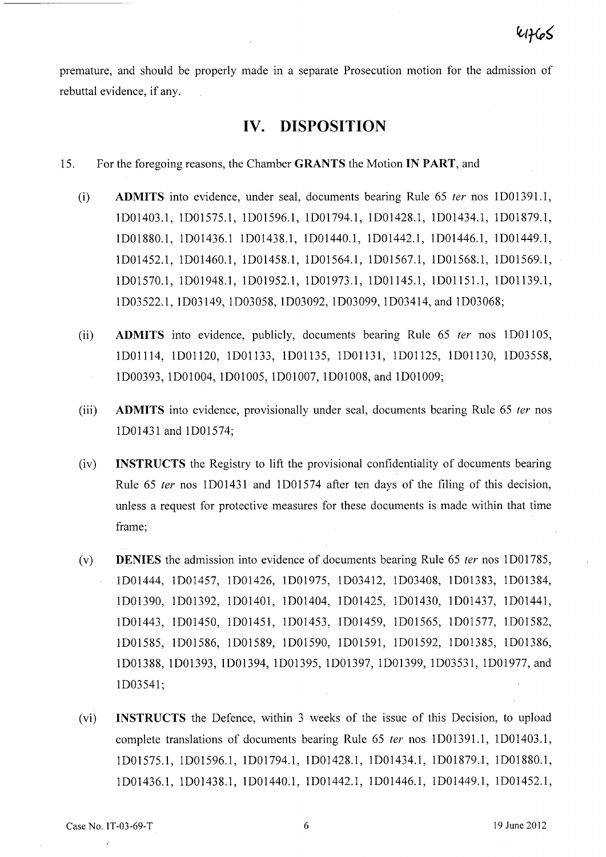premature, and should be properly made in a separate Prosecution motion for the admission of rebuttal evidence, if any.

## **IV. DISPOSITION**

- 15. For the foregoing reasons, the Chamber **GRANTS** the Motion **IN PART,** and
	- (i) **ADMITS** into evidence, under seal, documents bearing Rule 65 fer nos lD01391.l, lD01403.1, lD01575.l, lD01596.1, ID01794.1, lD01428.1, lD01434.1, lD01879.1, lD01880.1, lD01436.1 lD01438.l, ID01440.1, lD01442.1, lD01446.1, lD01449.1, ID01452.l, lD01460.1, lD01458.l, lD01564.1, lD01567.1, ID01568.l, lD01569.1, lD01570.1, lD01948.1, ID01952.1, lD01973.1, lDOl145.1, lDOl151.1, lDOl139.l, lD03522.l, lD03l49, lD03058, lD030n, lD03099, lD034l4, and lD03068;
	- (ii) **ADMITS** into evidence, publicly, documents bearing Rule 65 fer nos lDOll05, lDOll14, IDOl 120, IDOl133, lDOl135, lDOl13l, lDOl125, IDOl 130, ID03558, ID00393, lDOl004, lDOl005, lDOl007, lDOI008, and lDOl009;
	- (iii) **ADMITS** into evidence, provisionally under seal, documents bearing Rule 65 fer nos lD01431 and ID01574;
	- (iv) **INSTRUCTS** the Registry to lift the provisional confidentiality of documents bearing Rule 65 fer nos lDOl431 and ID01574 after ten days of the filing of this decision, unless a request for protective measures for these documents is made within that time frame;
	- (v) **DENIES** the admission into evidence of documents bearing Rule 65 fer nos lD01785, lD01444, ID01457, ID01426, ID01975, ID034l2, lD03408, ID01383, ID01384, ID01390, lD01392, lD01401, ID01404, IDOl425, lDOl430, lD01437, ID01441, ID01443, lDOl450, lDOl451, ID01453, ID01459, lDOl565, lDOl577, lDOl582, ID01585, ID01586, lD01589, lD01590, lD0159l, lD01592, ID01385, ID01386, ID01388, lD01393, lD01394, ID01395, lD01397, lD01399, lD0353l, lD01977, and lD03541;
	- (vi) **INSTRUCTS** the Defence, within 3 weeks of the issue of this Decision, to upload complete translations of documents bearing Rule 65 fer nos lD01391.1, ID01403.1, lD01575.1, lD01596.1, ID01794.1, lD01428.1, ID01434.1, ID01879.1, ID01880.1, lD01436.1, lD01438.1, ID01440.1, lD01442.1, lD01446.1, lD01449.1, ID01452.1,